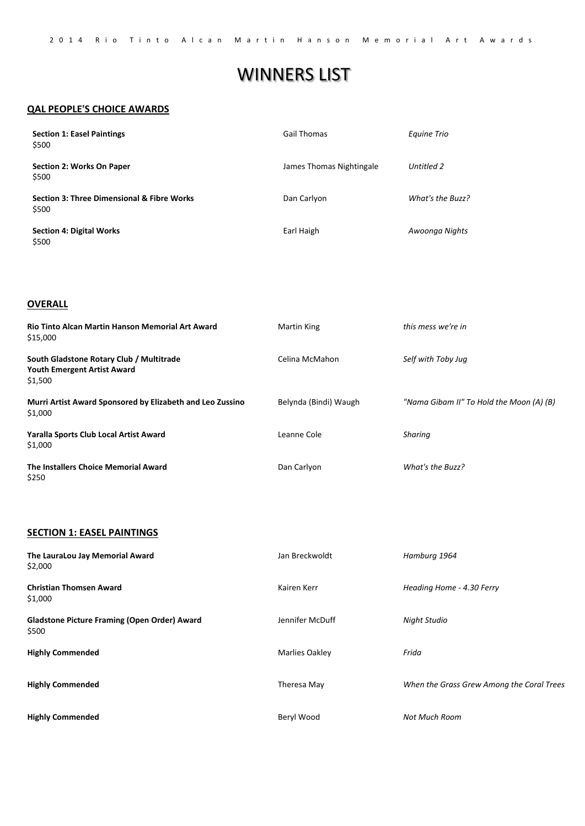# WINNERS LIST

#### **QAL PEOPLE'S CHOICE AWARDS**

| <b>Section 1: Easel Paintings</b><br>\$500                     | <b>Gail Thomas</b>       | Equine Trio      |
|----------------------------------------------------------------|--------------------------|------------------|
| Section 2: Works On Paper<br>\$500                             | James Thomas Nightingale | Untitled 2       |
| <b>Section 3: Three Dimensional &amp; Fibre Works</b><br>\$500 | Dan Carlyon              | What's the Buzz? |
| <b>Section 4: Digital Works</b><br>\$500                       | Earl Haigh               | Awoonga Nights   |

#### **OVERALL**

| Rio Tinto Alcan Martin Hanson Memorial Art Award<br>\$15,000                              | Martin King           | this mess we're in                       |
|-------------------------------------------------------------------------------------------|-----------------------|------------------------------------------|
| South Gladstone Rotary Club / Multitrade<br><b>Youth Emergent Artist Award</b><br>\$1,500 | Celina McMahon        | Self with Toby Jug                       |
| Murri Artist Award Sponsored by Elizabeth and Leo Zussino<br>\$1,000                      | Belynda (Bindi) Waugh | "Nama Gibam II" To Hold the Moon (A) (B) |
| Yaralla Sports Club Local Artist Award<br>\$1,000                                         | Leanne Cole           | Sharing                                  |
| The Installers Choice Memorial Award<br>\$250                                             | Dan Carlyon           | What's the Buzz?                         |

#### **SECTION 1: EASEL PAINTINGS**

**The LauraLou Jay Memorial Award** \$2,000 Jan Breckwoldt *Hamburg 1964* **Christian Thomsen Award** \$1,000 Kairen Kerr *Heading Home ‐ 4.30 Ferry* **Gladstone Picture Framing (Open Order) Award** \$500 Jennifer McDuff *Night Studio* **Highly Commended Highly Commended Highly Commended** Marlies Oakley Theresa May Beryl Wood *Frida When the Grass Grew Among the Coral Trees Not Much Room*